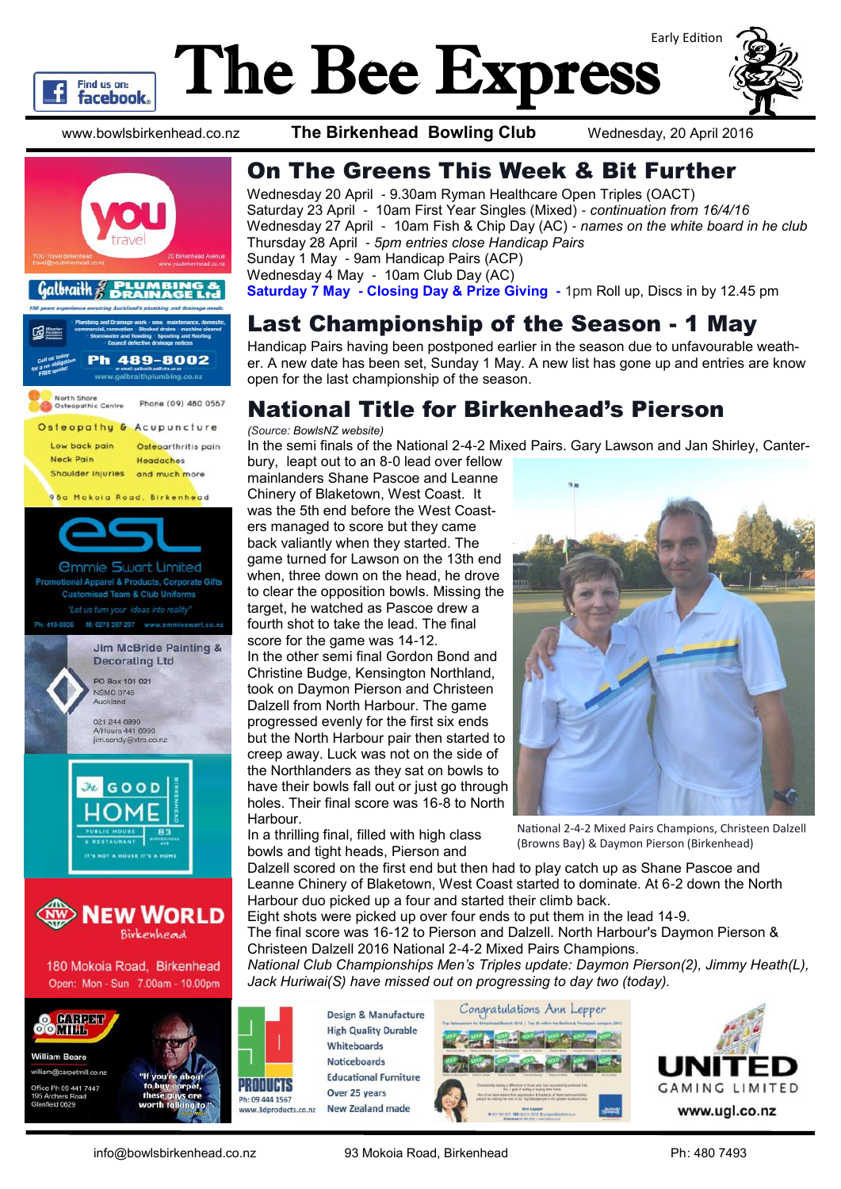

# The Bee Express Early Edition



www.bowlsbirkenhead.co.nz **The Birkenhead Bowling Club** Wednesday, 20 April 2016

Thursday 28 April - *5pm entries close Handicap Pairs*

Sunday 1 May - 9am Handicap Pairs (ACP)

On The Greens This Week & Bit Further

Saturday 23 April - 10am First Year Singles (Mixed) - *continuation from 16/4/16*

Wednesday 27 April - 10am Fish & Chip Day (AC) - *names on the white board in he club*

Wednesday 20 April - 9.30am Ryman Healthcare Open Triples (OACT)









Harbour.

Design & Manufacture **High Quality Durable** Whiteboards **Noticeboards Educational Furniture** Over 25 years New Zealand made



The final score was 16-12 to Pierson and Dalzell. North Harbour's Daymon Pierson &

*National Club Championships Men's Triples update: Daymon Pierson(2), Jimmy Heath(L),* 





*Jack Huriwai(S) have missed out on progressing to day two (today).* 

Christeen Dalzell 2016 National 2-4-2 Mixed Pairs Champions.

Eight shots were picked up over four ends to put them in the lead 14-9.

info@bowlsbirkenhead.co.nz 93 Mokoia Road, Birkenhead Ph: 480 7493